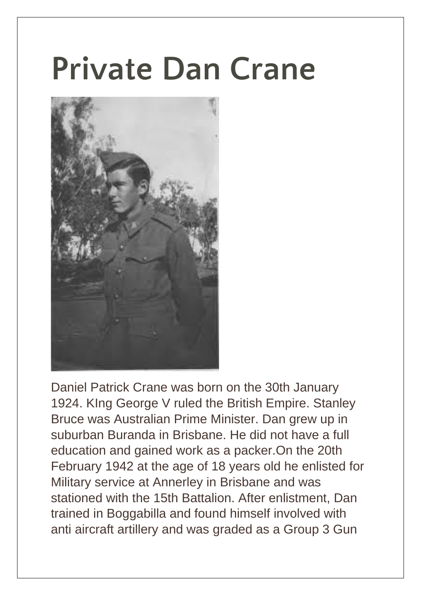## **Private Dan Crane**



Daniel Patrick Crane was born on the 30th January 1924. KIng George V ruled the British Empire. Stanley Bruce was Australian Prime Minister. Dan grew up in suburban Buranda in Brisbane. He did not have a full education and gained work as a packer.On the 20th February 1942 at the age of 18 years old he enlisted for Military service at Annerley in Brisbane and was stationed with the 15th Battalion. After enlistment, Dan trained in Boggabilla and found himself involved with anti aircraft artillery and was graded as a Group 3 Gun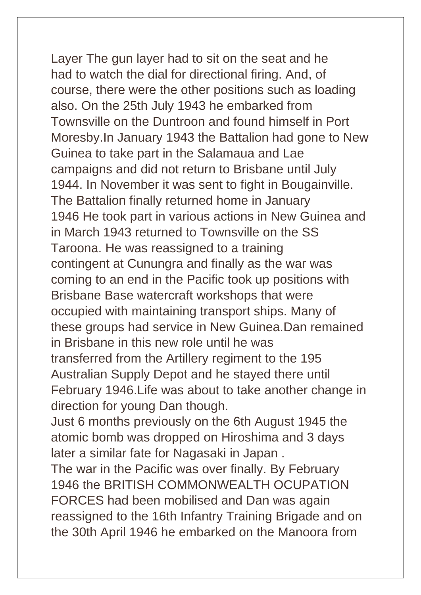Layer The gun layer had to sit on the seat and he had to watch the dial for directional firing. And, of course, there were the other positions such as loading also. On the 25th July 1943 he embarked from Townsville on the Duntroon and found himself in Port Moresby.In January 1943 the Battalion had gone to New Guinea to take part in the Salamaua and Lae campaigns and did not return to Brisbane until July 1944. In November it was sent to fight in Bougainville. The Battalion finally returned home in January 1946 He took part in various actions in New Guinea and in March 1943 returned to Townsville on the SS Taroona. He was reassigned to a training contingent at Cunungra and finally as the war was coming to an end in the Pacific took up positions with Brisbane Base watercraft workshops that were occupied with maintaining transport ships. Many of these groups had service in New Guinea.Dan remained in Brisbane in this new role until he was transferred from the Artillery regiment to the 195 Australian Supply Depot and he stayed there until February 1946.Life was about to take another change in direction for young Dan though. Just 6 months previously on the 6th August 1945 the atomic bomb was dropped on Hiroshima and 3 days later a similar fate for Nagasaki in Japan . The war in the Pacific was over finally. By February 1946 the BRITISH COMMONWEALTH OCUPATION FORCES had been mobilised and Dan was again

reassigned to the 16th Infantry Training Brigade and on the 30th April 1946 he embarked on the Manoora from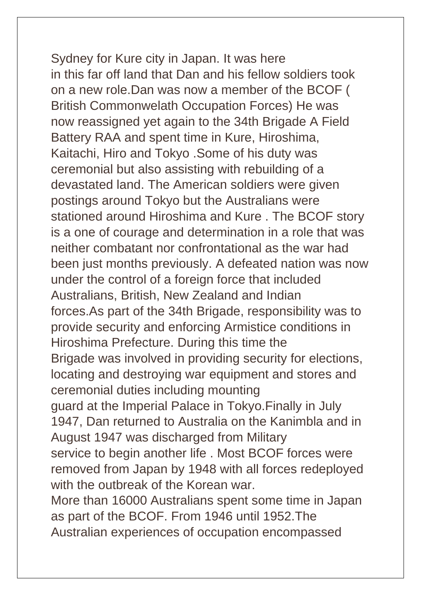Sydney for Kure city in Japan. It was here in this far off land that Dan and his fellow soldiers took on a new role.Dan was now a member of the BCOF ( British Commonwelath Occupation Forces) He was now reassigned yet again to the 34th Brigade A Field Battery RAA and spent time in Kure, Hiroshima, Kaitachi, Hiro and Tokyo .Some of his duty was ceremonial but also assisting with rebuilding of a devastated land. The American soldiers were given postings around Tokyo but the Australians were stationed around Hiroshima and Kure . The BCOF story is a one of courage and determination in a role that was neither combatant nor confrontational as the war had been just months previously. A defeated nation was now under the control of a foreign force that included Australians, British, New Zealand and Indian forces.As part of the 34th Brigade, responsibility was to provide security and enforcing Armistice conditions in Hiroshima Prefecture. During this time the Brigade was involved in providing security for elections, locating and destroying war equipment and stores and ceremonial duties including mounting guard at the Imperial Palace in Tokyo.Finally in July 1947, Dan returned to Australia on the Kanimbla and in August 1947 was discharged from Military service to begin another life . Most BCOF forces were removed from Japan by 1948 with all forces redeployed with the outbreak of the Korean war. More than 16000 Australians spent some time in Japan as part of the BCOF. From 1946 until 1952.The Australian experiences of occupation encompassed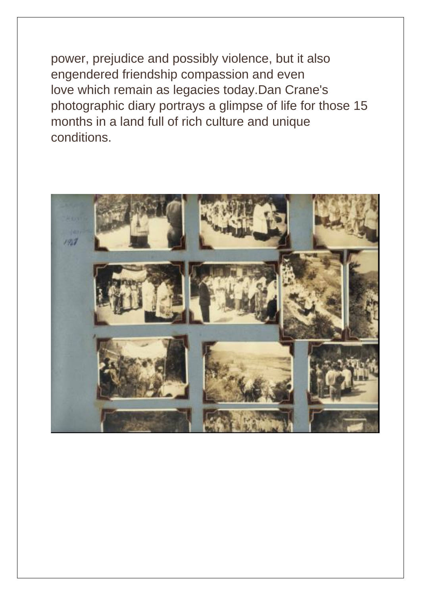power, prejudice and possibly violence, but it also engendered friendship compassion and even love which remain as legacies today.Dan Crane's photographic diary portrays a glimpse of life for those 15 months in a land full of rich culture and unique conditions.